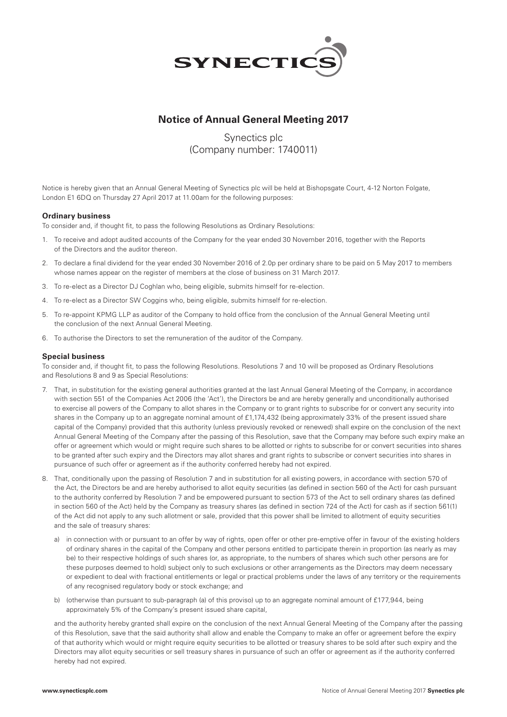

# **Notice of Annual General Meeting 2017**

Synectics plc (Company number: 1740011)

Notice is hereby given that an Annual General Meeting of Synectics plc will be held at Bishopsgate Court, 4-12 Norton Folgate, London E1 6DQ on Thursday 27 April 2017 at 11.00am for the following purposes:

## **Ordinary business**

To consider and, if thought fit, to pass the following Resolutions as Ordinary Resolutions:

- 1. To receive and adopt audited accounts of the Company for the year ended 30 November 2016, together with the Reports of the Directors and the auditor thereon.
- 2. To declare a final dividend for the year ended 30 November 2016 of 2.0p per ordinary share to be paid on 5 May 2017 to members whose names appear on the register of members at the close of business on 31 March 2017.
- 3. To re-elect as a Director DJ Coghlan who, being eligible, submits himself for re-election.
- 4. To re-elect as a Director SW Coggins who, being eligible, submits himself for re-election.
- 5. To re-appoint KPMG LLP as auditor of the Company to hold office from the conclusion of the Annual General Meeting until the conclusion of the next Annual General Meeting.
- 6. To authorise the Directors to set the remuneration of the auditor of the Company.

### **Special business**

To consider and, if thought fit, to pass the following Resolutions. Resolutions 7 and 10 will be proposed as Ordinary Resolutions and Resolutions 8 and 9 as Special Resolutions:

- 7. That, in substitution for the existing general authorities granted at the last Annual General Meeting of the Company, in accordance with section 551 of the Companies Act 2006 (the 'Act'), the Directors be and are hereby generally and unconditionally authorised to exercise all powers of the Company to allot shares in the Company or to grant rights to subscribe for or convert any security into shares in the Company up to an aggregate nominal amount of £1,174,432 (being approximately 33% of the present issued share capital of the Company) provided that this authority (unless previously revoked or renewed) shall expire on the conclusion of the next Annual General Meeting of the Company after the passing of this Resolution, save that the Company may before such expiry make an offer or agreement which would or might require such shares to be allotted or rights to subscribe for or convert securities into shares to be granted after such expiry and the Directors may allot shares and grant rights to subscribe or convert securities into shares in pursuance of such offer or agreement as if the authority conferred hereby had not expired.
- 8. That, conditionally upon the passing of Resolution 7 and in substitution for all existing powers, in accordance with section 570 of the Act, the Directors be and are hereby authorised to allot equity securities (as defined in section 560 of the Act) for cash pursuant to the authority conferred by Resolution 7 and be empowered pursuant to section 573 of the Act to sell ordinary shares (as defined in section 560 of the Act) held by the Company as treasury shares (as defined in section 724 of the Act) for cash as if section 561(1) of the Act did not apply to any such allotment or sale, provided that this power shall be limited to allotment of equity securities and the sale of treasury shares:
	- a) in connection with or pursuant to an offer by way of rights, open offer or other pre-emptive offer in favour of the existing holders of ordinary shares in the capital of the Company and other persons entitled to participate therein in proportion (as nearly as may be) to their respective holdings of such shares (or, as appropriate, to the numbers of shares which such other persons are for these purposes deemed to hold) subject only to such exclusions or other arrangements as the Directors may deem necessary or expedient to deal with fractional entitlements or legal or practical problems under the laws of any territory or the requirements of any recognised regulatory body or stock exchange; and
	- b) (otherwise than pursuant to sub-paragraph (a) of this proviso) up to an aggregate nominal amount of £177,944, being approximately 5% of the Company's present issued share capital,

 and the authority hereby granted shall expire on the conclusion of the next Annual General Meeting of the Company after the passing of this Resolution, save that the said authority shall allow and enable the Company to make an offer or agreement before the expiry of that authority which would or might require equity securities to be allotted or treasury shares to be sold after such expiry and the Directors may allot equity securities or sell treasury shares in pursuance of such an offer or agreement as if the authority conferred hereby had not expired.